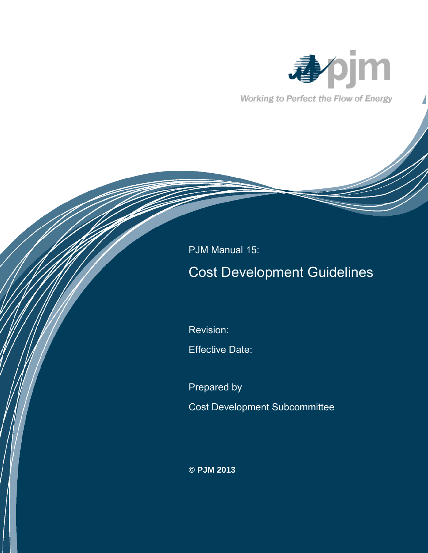

Working to Perfect the Flow of Energy

# PJM Manual 15:

# Cost Development Guidelines

Revision:

Effective Date:

Prepared by

Cost Development Subcommittee

**© PJM 2013**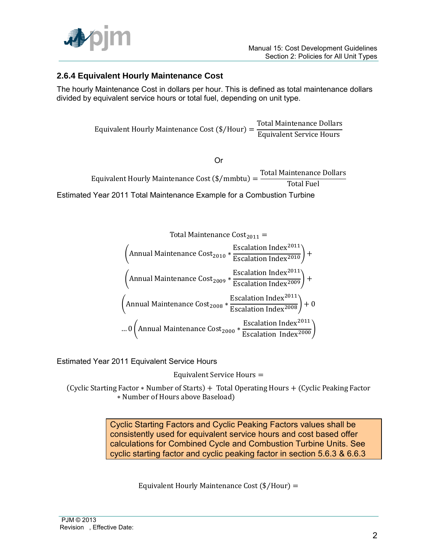

## **2.6.4 Equivalent Hourly Maintenance Cost**

The hourly Maintenance Cost in dollars per hour. This is defined as total maintenance dollars divided by equivalent service hours or total fuel, depending on unit type.

> E T E

> > Or

Equivalent Hourly Maintenance Cost (\$/mmbtu) = **Total Maintenance Dollars Total Fuel** Estimated Year 2011 Total Maintenance Example for a Combustion Turbine

Total Maintenance Cost<sub>2011</sub> =  
\n(Annual Maintenance Cost<sub>2010</sub> \* 
$$
\frac{\text{Escalation Index}^{2011}}{\text{Escalation Index}^{2010}} +
$$
  
\n(Annual Maintenance Cost<sub>2009</sub> \*  $\frac{\text{Escalation Index}^{2011}}{\text{Escalation Index}^{2009}} +$   
\n(Annual Maintenance Cost<sub>2008</sub> \*  $\frac{\text{Escalation Index}^{2011}}{\text{Escalation Index}^{2009}} + 0$   
\n... 0 (Annual Maintenance Cost<sub>2008</sub> \*  $\frac{\text{Escalation Index}^{2011}}{\text{Escalation Index}^{2008}} + 0$   
\n... 0 (Annual Maintenance Cost<sub>2000</sub> \*  $\frac{\text{Escalation Index}^{2011}}{\text{Escalation Index}^{2000}}$ )

Estimated Year 2011 Equivalent Service Hours

Equivalent Service Hours =

(Cyclic Starting Factor \* Number of Starts) + Total Operating Hours + (Cyclic Peaking Factor \* Number of Hours above Baseload)

> Cyclic Starting Factors and Cyclic Peaking Factors values shall be consistently used for equivalent service hours and cost based offer calculations for Combined Cycle and Combustion Turbine Units. See cyclic starting factor and cyclic peaking factor in section 5.6.3 & 6.6.3

> > Equivalent Hourly Maintenance Cost  $(\frac{4}{H}$ Our) =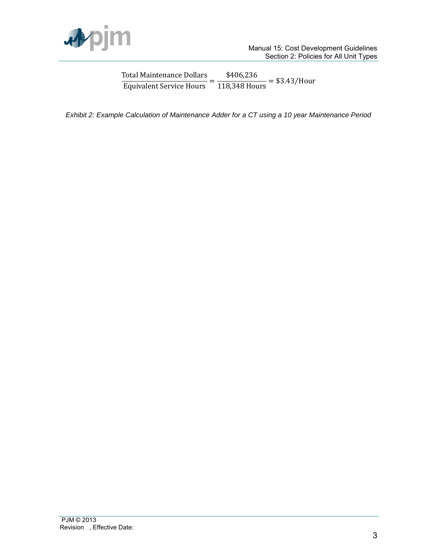

T E \$  $\mathbf{1}$ 

*Exhibit 2: Example Calculation of Maintenance Adder for a CT using a 10 year Maintenance Period*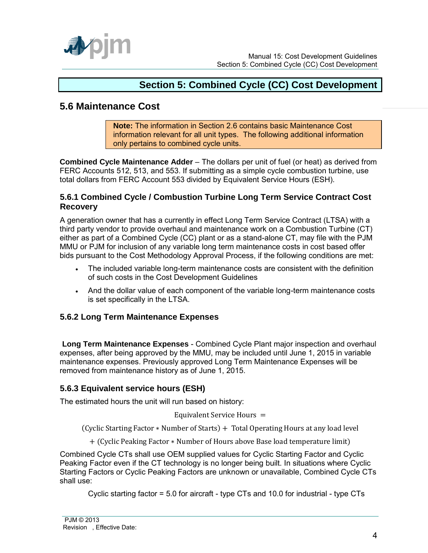

# **Section 5: Combined Cycle (CC) Cost Development**

## **5.6 Maintenance Cost**

**Note:** The information in Section 2.6 contains basic Maintenance Cost information relevant for all unit types. The following additional information only pertains to combined cycle units.

**Combined Cycle Maintenance Adder** – The dollars per unit of fuel (or heat) as derived from FERC Accounts 512, 513, and 553. If submitting as a simple cycle combustion turbine, use total dollars from FERC Account 553 divided by Equivalent Service Hours (ESH).

#### **5.6.1 Combined Cycle / Combustion Turbine Long Term Service Contract Cost Recovery**

A generation owner that has a currently in effect Long Term Service Contract (LTSA) with a third party vendor to provide overhaul and maintenance work on a Combustion Turbine (CT) either as part of a Combined Cycle (CC) plant or as a stand-alone CT, may file with the PJM MMU or PJM for inclusion of any variable long term maintenance costs in cost based offer bids pursuant to the Cost Methodology Approval Process, if the following conditions are met:

- The included variable long-term maintenance costs are consistent with the definition of such costs in the Cost Development Guidelines
- And the dollar value of each component of the variable long-term maintenance costs is set specifically in the LTSA.

## **5.6.2 Long Term Maintenance Expenses**

**Long Term Maintenance Expenses** - Combined Cycle Plant major inspection and overhaul expenses, after being approved by the MMU, may be included until June 1, 2015 in variable maintenance expenses. Previously approved Long Term Maintenance Expenses will be removed from maintenance history as of June 1, 2015.

## **5.6.3 Equivalent service hours (ESH)**

The estimated hours the unit will run based on history:

Equivalent Service Hours =

(Cyclic Starting Factor \* Number of Starts) + Total Operating Hours at any load level

+ (Cyclic Peaking Factor \* Number of Hours above Base load temperature limit)

Combined Cycle CTs shall use OEM supplied values for Cyclic Starting Factor and Cyclic Peaking Factor even if the CT technology is no longer being built. In situations where Cyclic Starting Factors or Cyclic Peaking Factors are unknown or unavailable, Combined Cycle CTs shall use:

Cyclic starting factor = 5.0 for aircraft - type CTs and 10.0 for industrial - type CTs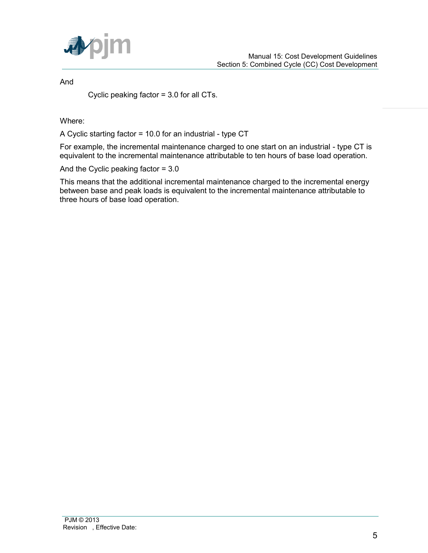

And

Cyclic peaking factor = 3.0 for all CTs.

Where:

A Cyclic starting factor = 10.0 for an industrial - type CT

For example, the incremental maintenance charged to one start on an industrial - type CT is equivalent to the incremental maintenance attributable to ten hours of base load operation.

And the Cyclic peaking factor = 3.0

This means that the additional incremental maintenance charged to the incremental energy between base and peak loads is equivalent to the incremental maintenance attributable to three hours of base load operation.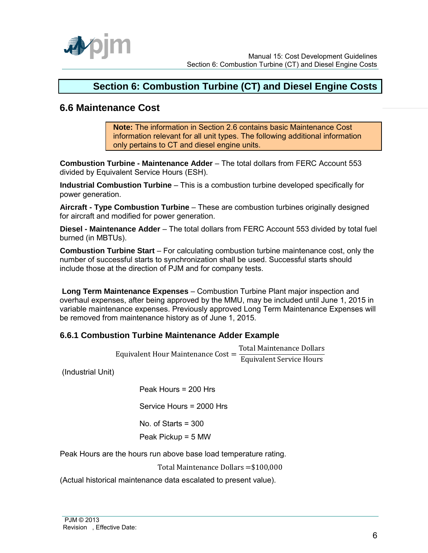

# **Section 6: Combustion Turbine (CT) and Diesel Engine Costs**

## **6.6 Maintenance Cost**

**Note:** The information in Section 2.6 contains basic Maintenance Cost information relevant for all unit types. The following additional information only pertains to CT and diesel engine units.

**Combustion Turbine - Maintenance Adder** – The total dollars from FERC Account 553 divided by Equivalent Service Hours (ESH).

**Industrial Combustion Turbine** – This is a combustion turbine developed specifically for power generation.

**Aircraft - Type Combustion Turbine** – These are combustion turbines originally designed for aircraft and modified for power generation.

**Diesel - Maintenance Adder** – The total dollars from FERC Account 553 divided by total fuel burned (in MBTUs).

**Combustion Turbine Start** – For calculating combustion turbine maintenance cost, only the number of successful starts to synchronization shall be used. Successful starts should include those at the direction of PJM and for company tests.

 **Long Term Maintenance Expenses** – Combustion Turbine Plant major inspection and overhaul expenses, after being approved by the MMU, may be included until June 1, 2015 in variable maintenance expenses. Previously approved Long Term Maintenance Expenses will be removed from maintenance history as of June 1, 2015.

#### **6.6.1 Combustion Turbine Maintenance Adder Example**

Equivalent Hour Maintenance Cost = T E

(Industrial Unit)

Peak Hours = 200 Hrs

Service Hours = 2000 Hrs

No. of Starts = 300

Peak Pickup = 5 MW

Peak Hours are the hours run above base load temperature rating.

Total Maintenance Dollars =\$100,000

(Actual historical maintenance data escalated to present value).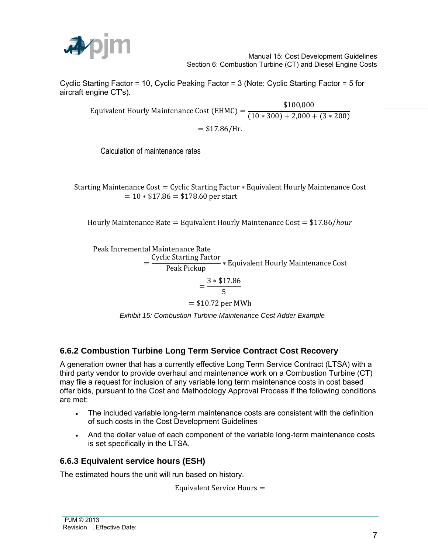

Cyclic Starting Factor = 10, Cyclic Peaking Factor = 3 (Note: Cyclic Starting Factor = 5 for aircraft engine CT's).

> E \$  $\overline{(\ }$  $= $17.86 / Hr.$

Calculation of maintenance rates

Starting Maintenance Cost = Cyclic Starting Factor \* Equivalent Hourly Maintenance Cost  $= 10 * $17.86 = $178.60$  per start

Hourly Maintenance Rate = Equivalent Hourly Maintenance Cost =  $$17.86/hour$ 

Peak Incremental Maintenance Rate

 $=$  $\mathsf{C}$ P

$$
=\frac{3*\$17.86}{5}
$$

 $= $10.72$  per MWh

 *Exhibit 15: Combustion Turbine Maintenance Cost Adder Example* 

## **6.6.2 Combustion Turbine Long Term Service Contract Cost Recovery**

A generation owner that has a currently effective Long Term Service Contract (LTSA) with a third party vendor to provide overhaul and maintenance work on a Combustion Turbine (CT) may file a request for inclusion of any variable long term maintenance costs in cost based offer bids, pursuant to the Cost and Methodology Approval Process if the following conditions are met:

- The included variable long-term maintenance costs are consistent with the definition of such costs in the Cost Development Guidelines
- And the dollar value of each component of the variable long-term maintenance costs is set specifically in the LTSA.

#### **6.6.3 Equivalent service hours (ESH)**

The estimated hours the unit will run based on history.

Equivalent Service Hours =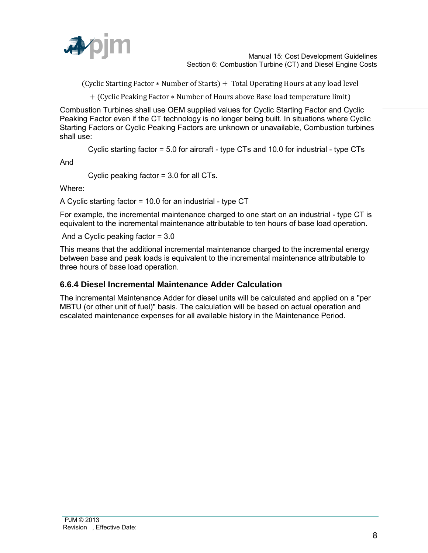

(Cyclic Starting Factor \* Number of Starts) + Total Operating Hours at any load level

+ (Cyclic Peaking Factor \* Number of Hours above Base load temperature limit)

Combustion Turbines shall use OEM supplied values for Cyclic Starting Factor and Cyclic Peaking Factor even if the CT technology is no longer being built. In situations where Cyclic Starting Factors or Cyclic Peaking Factors are unknown or unavailable, Combustion turbines shall use:

Cyclic starting factor = 5.0 for aircraft - type CTs and 10.0 for industrial - type CTs

And

Cyclic peaking factor = 3.0 for all CTs.

Where:

A Cyclic starting factor = 10.0 for an industrial - type CT

For example, the incremental maintenance charged to one start on an industrial - type CT is equivalent to the incremental maintenance attributable to ten hours of base load operation.

And a Cyclic peaking factor = 3.0

This means that the additional incremental maintenance charged to the incremental energy between base and peak loads is equivalent to the incremental maintenance attributable to three hours of base load operation.

#### **6.6.4 Diesel Incremental Maintenance Adder Calculation**

The incremental Maintenance Adder for diesel units will be calculated and applied on a "per MBTU (or other unit of fuel)" basis. The calculation will be based on actual operation and escalated maintenance expenses for all available history in the Maintenance Period.